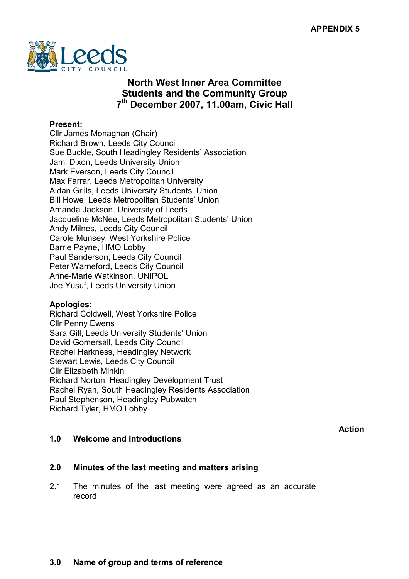

# North West Inner Area Committee Students and the Community Group 7 th December 2007, 11.00am, Civic Hall

#### Present:

Cllr James Monaghan (Chair) Richard Brown, Leeds City Council Sue Buckle, South Headingley Residents' Association Jami Dixon, Leeds University Union Mark Everson, Leeds City Council Max Farrar, Leeds Metropolitan University Aidan Grills, Leeds University Students' Union Bill Howe, Leeds Metropolitan Students' Union Amanda Jackson, University of Leeds Jacqueline McNee, Leeds Metropolitan Students' Union Andy Milnes, Leeds City Council Carole Munsey, West Yorkshire Police Barrie Payne, HMO Lobby Paul Sanderson, Leeds City Council Peter Warneford, Leeds City Council Anne-Marie Watkinson, UNIPOL Joe Yusuf, Leeds University Union

#### Apologies:

Richard Coldwell, West Yorkshire Police Cllr Penny Ewens Sara Gill, Leeds University Students' Union David Gomersall, Leeds City Council Rachel Harkness, Headingley Network Stewart Lewis, Leeds City Council Cllr Elizabeth Minkin Richard Norton, Headingley Development Trust Rachel Ryan, South Headingley Residents Association Paul Stephenson, Headingley Pubwatch Richard Tyler, HMO Lobby

Action

#### 1.0 Welcome and Introductions

#### 2.0 Minutes of the last meeting and matters arising

2.1 The minutes of the last meeting were agreed as an accurate record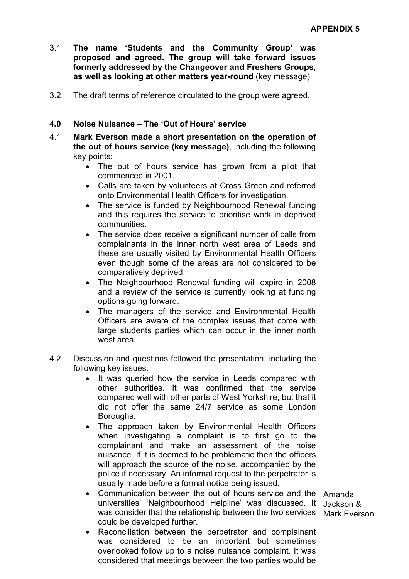- 3.1 The name 'Students and the Community Group' was proposed and agreed. The group will take forward issues formerly addressed by the Changeover and Freshers Groups, as well as looking at other matters year-round (key message).
- 3.2 The draft terms of reference circulated to the group were agreed.

#### 4.0 Noise Nuisance – The 'Out of Hours' service

- 4.1 Mark Everson made a short presentation on the operation of the out of hours service (key message), including the following key points:
	- The out of hours service has grown from a pilot that commenced in 2001.
	- Calls are taken by volunteers at Cross Green and referred onto Environmental Health Officers for investigation.
	- The service is funded by Neighbourhood Renewal funding and this requires the service to prioritise work in deprived communities.
	- The service does receive a significant number of calls from complainants in the inner north west area of Leeds and these are usually visited by Environmental Health Officers even though some of the areas are not considered to be comparatively deprived.
	- The Neighbourhood Renewal funding will expire in 2008 and a review of the service is currently looking at funding options going forward.
	- The managers of the service and Environmental Health Officers are aware of the complex issues that come with large students parties which can occur in the inner north west area.
- 4.2 Discussion and questions followed the presentation, including the following key issues:
	- It was queried how the service in Leeds compared with other authorities. It was confirmed that the service compared well with other parts of West Yorkshire, but that it did not offer the same 24/7 service as some London Boroughs.
	- The approach taken by Environmental Health Officers when investigating a complaint is to first go to the complainant and make an assessment of the noise nuisance. If it is deemed to be problematic then the officers will approach the source of the noise, accompanied by the police if necessary. An informal request to the perpetrator is usually made before a formal notice being issued.
	- Communication between the out of hours service and the Amanda universities' 'Neighbourhood Helpline' was discussed. It Jackson & was consider that the relationship between the two services Mark Everson could be developed further.
	- Reconciliation between the perpetrator and complainant was considered to be an important but sometimes overlooked follow up to a noise nuisance complaint. It was considered that meetings between the two parties would be